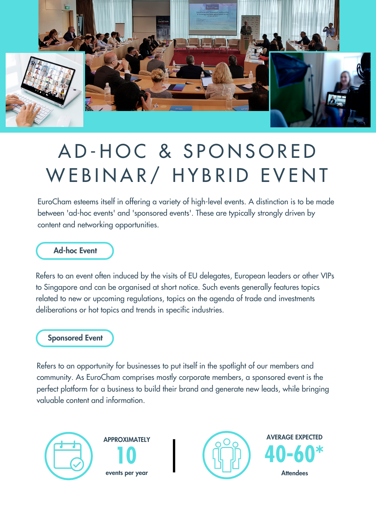

# A D-HOC & SPONSORED WEBINAR/ HYBRID EVENT

EuroCham esteems itself in offering a variety of high-level events. A distinction is to be made between 'ad-hoc events' and 'sponsored events'. These are typically strongly driven by content and networking opportunities.

#### Ad-hoc Event

Refers to an event often induced by the visits of EU delegates, European leaders or other VIPs to Singapore and can be organised at short notice. Such events generally features topics related to new or upcoming regulations, topics on the agenda of trade and investments deliberations or hot topics and trends in specific industries.

#### Sponsored Event

Refers to an opportunity for businesses to put itself in the spotlight of our members and community. As EuroCham comprises mostly corporate members, a sponsored event is the perfect platform for a business to build their brand and generate new leads, while bringing valuable content and information.